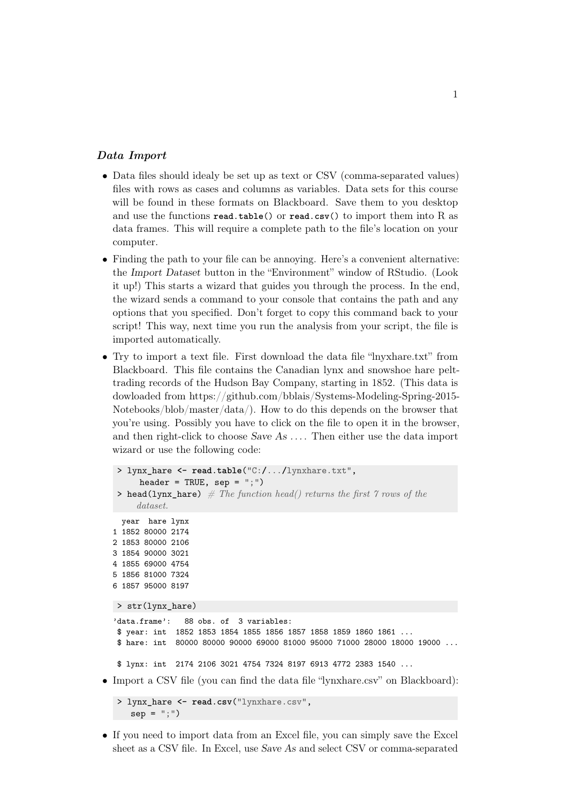## Data Import

- Data files should idealy be set up as text or CSV (comma-separated values) files with rows as cases and columns as variables. Data sets for this course will be found in these formats on Blackboard. Save them to you desktop and use the functions **read**.**table**() or **read**.**csv**() to import them into R as data frames. This will require a complete path to the file's location on your computer.
- Finding the path to your file can be annoying. Here's a convenient alternative: the Import Dataset button in the "Environment" window of RStudio. (Look it up!) This starts a wizard that guides you through the process. In the end, the wizard sends a command to your console that contains the path and any options that you specified. Don't forget to copy this command back to your script! This way, next time you run the analysis from your script, the file is imported automatically.
- Try to import a text file. First download the data file "lnyxhare.txt" from Blackboard. This file contains the Canadian lynx and snowshoe hare pelttrading records of the Hudson Bay Company, starting in 1852. (This data is dowloaded from https://github.com/bblais/Systems-Modeling-Spring-2015- Notebooks/blob/master/data/). How to do this depends on the browser that you're using. Possibly you have to click on the file to open it in the browser, and then right-click to choose  $Save As \ldots$ . Then either use the data import wizard or use the following code:

```
> lynx_hare <- read.table("C:/.../lynxhare.txt",
        header = TRUE, sep = ";")> head(lynx_hare) # The function head() returns the first 7 rows of the
       dataset.
    year hare lynx
  1 1852 80000 2174
  2 1853 80000 2106
  3 1854 90000 3021
  4 1855 69000 4754
  5 1856 81000 7324
  6 1857 95000 8197
  > str(lynx_hare)
  'data.frame': 88 obs. of 3 variables:
   $ year: int 1852 1853 1854 1855 1856 1857 1858 1859 1860 1861 ...
   $ hare: int 80000 80000 90000 69000 81000 95000 71000 28000 18000 19000 ...
   $ lynx: int 2174 2106 3021 4754 7324 8197 6913 4772 2383 1540 ...
• Import a CSV file (you can find the data file "lynxhare.csv" on Blackboard):
```

```
> lynx_hare <- read.csv("lynxhare.csv",
  sep = ";")
```
• If you need to import data from an Excel file, you can simply save the Excel sheet as a CSV file. In Excel, use Save As and select CSV or comma-separated